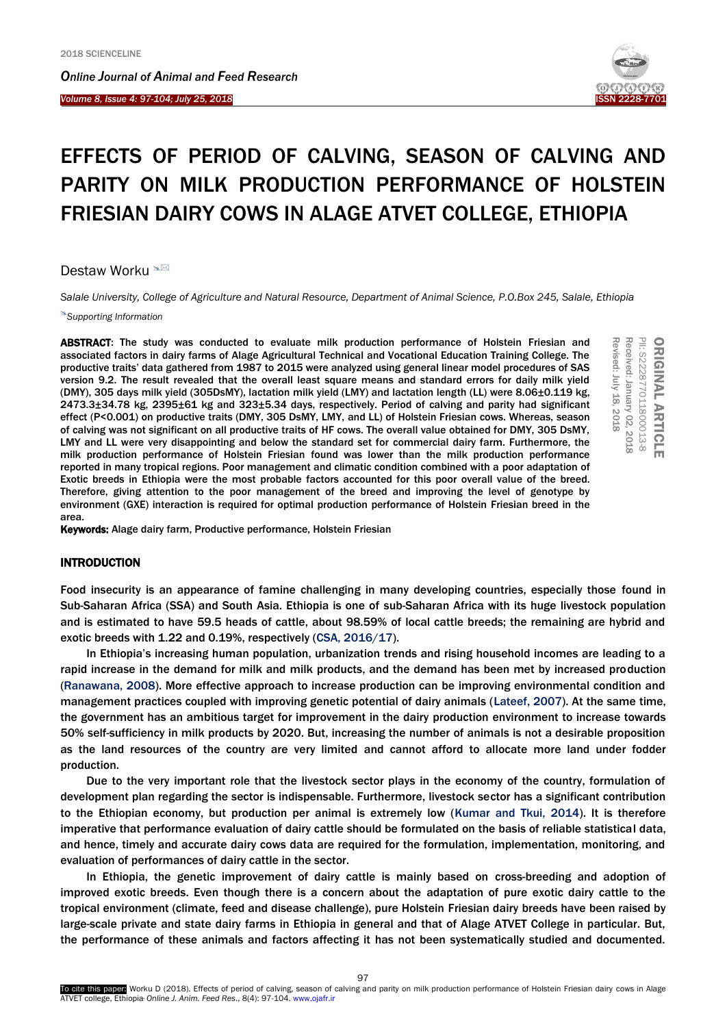*Online Journal of A[nimal and](http://www.ojafr.ir/main/) Feed Research*

*Volume 8, Issue 4: 97-104; July 25, 2018* I



PII: S2228770118000 ORIGINAL ARTICLE PII: S222877011800013-8 Received: January Received: January 02, 2018 Revised: July 18, 2018

**ORIGINAL ARTICLE** 

Revised: July 18

2018

# EFFECTS OF PERIOD OF CALVING, SEASON OF CALVING AND PARITY ON MILK PRODUCTION PERFORMANCE OF HOLSTEIN FRIESIAN DAIRY COWS IN ALAGE ATVET COLLEGE, ETHIOPIA

Destaw Worku <sup>®⊠</sup>

*Salale University, College of Agriculture and Natural Resource, Department of Animal Science, P.O.Box 245, Salale, Ethiopia*

*Supporting Information*

ABSTRACT: The study was conducted to evaluate milk production performance of Holstein Friesian and associated factors in dairy farms of Alage Agricultural Technical and Vocational Education Training College. The productive traits' data gathered from 1987 to 2015 were analyzed using general linear model procedures of SAS version 9.2. The result revealed that the overall least square means and standard errors for daily milk yield (DMY), 305 days milk yield (305DsMY), lactation milk yield (LMY) and lactation length (LL) were 8.06±0.119 kg, 2473.3±34.78 kg, 2395±61 kg and 323±5.34 days, respectively. Period of calving and parity had significant effect (P<0.001) on productive traits (DMY, 305 DsMY, LMY, and LL) of Holstein Friesian cows. Whereas, season of calving was not significant on all productive traits of HF cows. The overall value obtained for DMY, 305 DsMY, LMY and LL were very disappointing and below the standard set for commercial dairy farm. Furthermore, the milk production performance of Holstein Friesian found was lower than the milk production performance reported in many tropical regions. Poor management and climatic condition combined with a poor adaptation of Exotic breeds in Ethiopia were the most probable factors accounted for this poor overall value of the breed. Therefore, giving attention to the poor management of the breed and improving the level of genotype by environment (GXE) interaction is required for optimal production performance of Holstein Friesian breed in the area.

Keywords: Alage dairy farm, Productive performance, Holstein Friesian

# INTRODUCTION

Food insecurity is an appearance of famine challenging in many developing countries, especially those found in Sub-Saharan Africa (SSA) and South Asia. Ethiopia is one of sub-Saharan Africa with its huge livestock population and is estimated to have 59.5 heads of cattle, about 98.59% of local cattle breeds; the remaining are hybrid and exotic breeds with 1.22 and 0.19%, respectively [\(CSA, 2016/17\).](#page-7-0) 

In Ethiopia's increasing human population, urbanization trends and rising household incomes are leading to a rapid increase in the demand for milk and milk products, and the demand has been met by increased production ([Ranawana, 2008\)](#page-7-0). More effective approach to increase production can be improving environmental condition and management practices coupled with improving genetic potential of dairy animals [\(Lateef, 2007\)](#page-7-0). At the same time, the government has an ambitious target for improvement in the dairy production environment to increase towards 50% self-sufficiency in milk products by 2020. But, increasing the number of animals is not a desirable proposition as the land resources of the country are very limited and cannot afford to allocate more land under fodder production.

Due to the very important role that the livestock sector plays in the economy of the country, formulation of development plan regarding the sector is indispensable. Furthermore, livestock sector has a significant contribution to the Ethiopian economy, but production per animal is extremely low ([Kumar and Tkui, 2014](#page-7-0)). It is therefore imperative that performance evaluation of dairy cattle should be formulated on the basis of reliable statistical data, and hence, timely and accurate dairy cows data are required for the formulation, implementation, monitoring, and evaluation of performances of dairy cattle in the sector.

In Ethiopia, the genetic improvement of dairy cattle is mainly based on cross-breeding and adoption of improved exotic breeds. Even though there is a concern about the adaptation of pure exotic dairy cattle to the tropical environment (climate, feed and disease challenge), pure Holstein Friesian dairy breeds have been raised by large-scale private and state dairy farms in Ethiopia in general and that of Alage ATVET College in particular. But, the performance of these animals and factors affecting it has not been systematically studied and documented.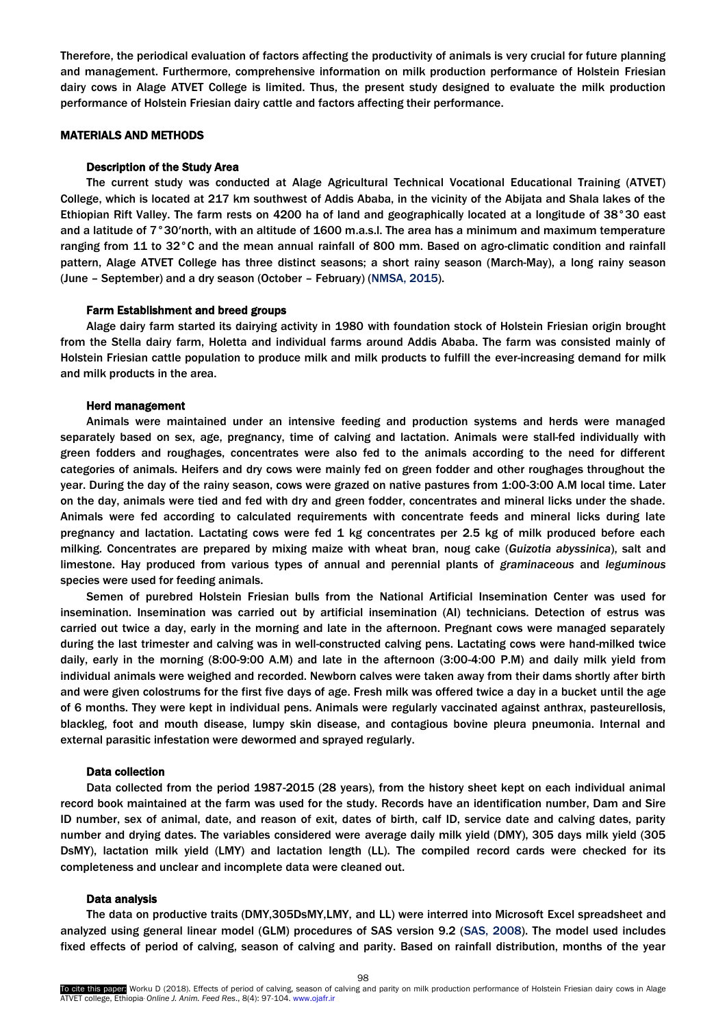Therefore, the periodical evaluation of factors affecting the productivity of animals is very crucial for future planning and management. Furthermore, comprehensive information on milk production performance of Holstein Friesian dairy cows in Alage ATVET College is limited. Thus, the present study designed to evaluate the milk production performance of Holstein Friesian dairy cattle and factors affecting their performance.

# MATERIALS AND METHODS

#### Description of the Study Area

The current study was conducted at Alage Agricultural Technical Vocational Educational Training (ATVET) College, which is located at 217 km southwest of Addis Ababa, in the vicinity of the Abijata and Shala lakes of the Ethiopian Rift Valley. The farm rests on 4200 ha of land and geographically located at a longitude of 38°30 east and a latitude of 7°30′north, with an altitude of 1600 m.a.s.l. The area has a minimum and maximum temperature ranging from 11 to 32°C and the mean annual rainfall of 800 mm. Based on agro-climatic condition and rainfall pattern, Alage ATVET College has three distinct seasons; a short rainy season (March-May), a long rainy season (June – September) and a dry season (October – February) [\(NMSA, 2015\)](#page-7-0).

#### Farm Establishment and breed groups

Alage dairy farm started its dairying activity in 1980 with foundation stock of Holstein Friesian origin brought from the Stella dairy farm, Holetta and individual farms around Addis Ababa. The farm was consisted mainly of Holstein Friesian cattle population to produce milk and milk products to fulfill the ever-increasing demand for milk and milk products in the area.

#### Herd management

Animals were maintained under an intensive feeding and production systems and herds were managed separately based on sex, age, pregnancy, time of calving and lactation. Animals were stall-fed individually with green fodders and roughages, concentrates were also fed to the animals according to the need for different categories of animals. Heifers and dry cows were mainly fed on green fodder and other roughages throughout the year. During the day of the rainy season, cows were grazed on native pastures from 1:00-3:00 A.M local time. Later on the day, animals were tied and fed with dry and green fodder, concentrates and mineral licks under the shade. Animals were fed according to calculated requirements with concentrate feeds and mineral licks during late pregnancy and lactation. Lactating cows were fed 1 kg concentrates per 2.5 kg of milk produced before each milking. Concentrates are prepared by mixing maize with wheat bran, noug cake (*Guizotia abyssinica*), salt and limestone. Hay produced from various types of annual and perennial plants of *graminaceous* and *leguminous* species were used for feeding animals.

Semen of purebred Holstein Friesian bulls from the National Artificial Insemination Center was used for insemination. Insemination was carried out by artificial insemination (AI) technicians. Detection of estrus was carried out twice a day, early in the morning and late in the afternoon. Pregnant cows were managed separately during the last trimester and calving was in well-constructed calving pens. Lactating cows were hand-milked twice daily, early in the morning (8:00-9:00 A.M) and late in the afternoon (3:00-4:00 P.M) and daily milk yield from individual animals were weighed and recorded. Newborn calves were taken away from their dams shortly after birth and were given colostrums for the first five days of age. Fresh milk was offered twice a day in a bucket until the age of 6 months. They were kept in individual pens. Animals were regularly vaccinated against anthrax, pasteurellosis, blackleg, foot and mouth disease, lumpy skin disease, and contagious bovine pleura pneumonia. Internal and external parasitic infestation were dewormed and sprayed regularly.

# Data collection

Data collected from the period 1987-2015 (28 years), from the history sheet kept on each individual animal record book maintained at the farm was used for the study. Records have an identification number, Dam and Sire ID number, sex of animal, date, and reason of exit, dates of birth, calf ID, service date and calving dates, parity number and drying dates. The variables considered were average daily milk yield (DMY), 305 days milk yield (305 DsMY), lactation milk yield (LMY) and lactation length (LL). The compiled record cards were checked for its completeness and unclear and incomplete data were cleaned out.

#### Data analysis

The data on productive traits (DMY,305DsMY,LMY, and LL) were interred into Microsoft Excel spreadsheet and analyzed using general linear model (GLM) procedures of SAS version 9.2 [\(SAS, 2008\)](#page-7-0). The model used includes fixed effects of period of calving, season of calving and parity. Based on rainfall distribution, months of the year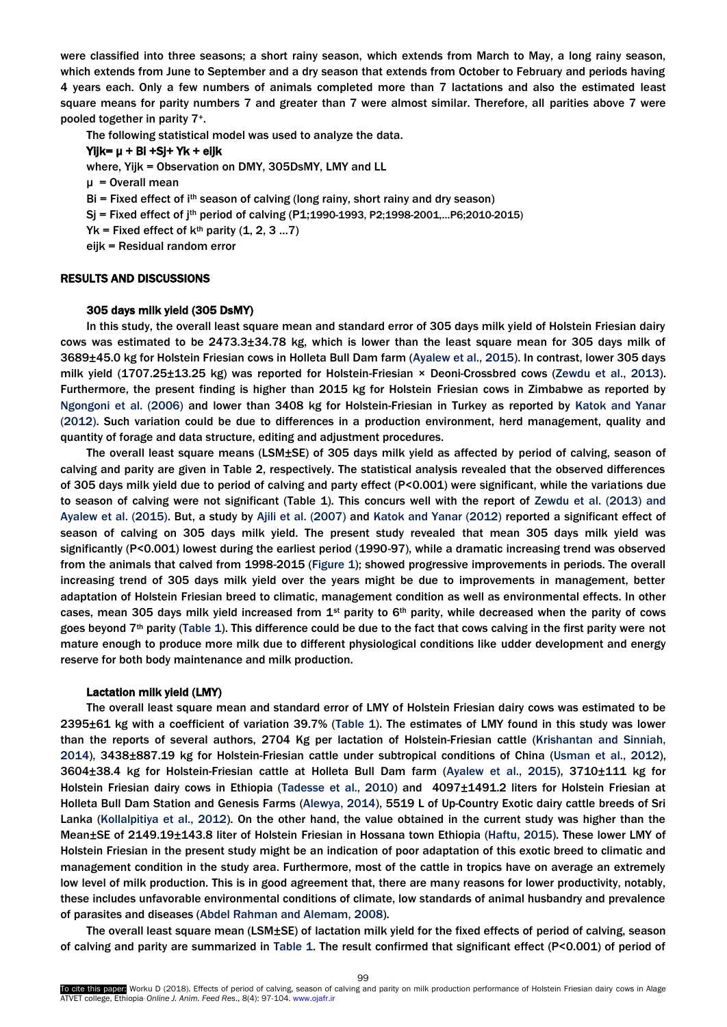were classified into three seasons; a short rainy season, which extends from March to May, a long rainy season, which extends from June to September and a dry season that extends from October to February and periods having 4 years each. Only a few numbers of animals completed more than 7 lactations and also the estimated least square means for parity numbers 7 and greater than 7 were almost similar. Therefore, all parities above 7 were pooled together in parity 7+.

The following statistical model was used to analyze the data.

# Yijk= μ + Bi +Sj+ Yk + eijk

where, Yijk = Observation on DMY, 305DsMY, LMY and LL

μ = Overall mean

- $Bi = Fixed effect of i<sup>th</sup> season of calving (long rainy, short rainy and dry season)$
- Sj = Fixed effect of jth period of calving (P1;1990-1993, P2;1998-2001,…P6;2010-2015)
- $Yk$  = Fixed effect of  $k^{th}$  parity (1, 2, 3 ...7)

eijk = Residual random error

# RESULTS AND DISCUSSIONS

#### 305 days milk yield (305 DsMY)

In this study, the overall least square mean and standard error of 305 days milk yield of Holstein Friesian dairy cows was estimated to be 2473.3±34.78 kg, which is lower than the least square mean for 305 days milk of 3689±45.0 kg for Holstein Friesian cows in Holleta Bull Dam farm [\(Ayalew et al., 2015\)](#page-7-0). In contrast, lower 305 days milk yield (1707.25±13.25 kg) was reported for Holstein-Friesian × Deoni-Crossbred cows [\(Zewdu et al., 2013](#page-7-0)). Furthermore, the present finding is higher than 2015 kg for Holstein Friesian cows in Zimbabwe as reported by [Ngongoni et al. \(2006\)](#page-7-0) and lower than 3408 kg for Holstein-Friesian in Turkey as reported by [Katok and Yanar](#page-7-0)  [\(2012\).](#page-7-0) Such variation could be due to differences in a production environment, herd management, quality and quantity of forage and data structure, editing and adjustment procedures.

The overall least square means (LSM±SE) of 305 days milk yield as affected by period of calving, season of calving and parity are given in Table 2, respectively. The statistical analysis revealed that the observed differences of 305 days milk yield due to period of calving and party effect (P<0.001) were significant, while the variations due to season of calving were not significant (Table 1). This concurs well with the report of [Zewdu et al. \(2013\) and](#page-7-0)  [Ayalew et al. \(2015\).](#page-7-0) But, a study by [Ajili et al. \(2007\)](#page-7-0) and [Katok and Yanar \(2012\)](#page-7-0) reported a significant effect of season of calving on 305 days milk yield. The present study revealed that mean 305 days milk yield was significantly (P<0.001) lowest during the earliest period (1990-97), while a dramatic increasing trend was observed from the animals that calved from 1998-2015 [\(Figure](#page-3-0) 1); showed progressive improvements in periods. The overall increasing trend of 305 days milk yield over the years might be due to improvements in management, better adaptation of Holstein Friesian breed to climatic, management condition as well as environmental effects. In other cases, mean 305 days milk yield increased from  $1<sup>st</sup>$  parity to 6<sup>th</sup> parity, while decreased when the parity of cows goes beyond 7<sup>th</sup> parity [\(Table 1\).](#page-3-0) This difference could be due to the fact that cows calving in the first parity were not mature enough to produce more milk due to different physiological conditions like udder development and energy reserve for both body maintenance and milk production.

### Lactation milk yield (LMY)

The overall least square mean and standard error of LMY of Holstein Friesian dairy cows was estimated to be 2395±61 kg with a coefficient of variation 39.7% [\(Table 1\).](#page-3-0) The estimates of LMY found in this study was lower than the reports of several authors, 2704 Kg per lactation of Holstein-Friesian cattle [\(Krishantan and Sinniah,](#page-7-1) [2014\),](#page-7-1) 3438±887.19 kg for Holstein-Friesian cattle under subtropical conditions of China (Usman [et al., 2012\)](#page-7-1), 3604±38.4 kg for Holstein-Friesian cattle at Holleta Bull Dam farm ([Ayalew et al., 2015\)](#page-7-1), 3710±111 kg for Holstein Friesian dairy cows in Ethiopia ([Tadesse et al., 2010\)](#page-7-1) and 4097±1491.2 liters for Holstein Friesian at Holleta Bull Dam Station and Genesis Farms [\(Alewya, 2014\)](#page-7-1), 5519 L of Up-Country Exotic dairy cattle breeds of Sri Lanka (Kollalpitiya [et al., 2012\)](#page-7-1). On the other hand, the value obtained in the current study was higher than the Mean±SE of 2149.19±143.8 liter of Holstein Friesian in Hossana town Ethiopia [\(Haftu, 2015\)](#page-7-1). These lower LMY of Holstein Friesian in the present study might be an indication of poor adaptation of this exotic breed to climatic and management condition in the study area. Furthermore, most of the cattle in tropics have on average an extremely low level of milk production. This is in good agreement that, there are many reasons for lower productivity, notably, these includes unfavorable environmental conditions of climate, low standards of animal husbandry and prevalence of parasites and diseases (Abdel Rahman [and Alemam, 2008\)](#page-7-1).

The overall least square mean (LSM±SE) of lactation milk yield for the fixed effects of period of calving, season of calving and parity are summarized in [Table 1.](#page-7-1) The result confirmed that significant effect (P<0.001) of period of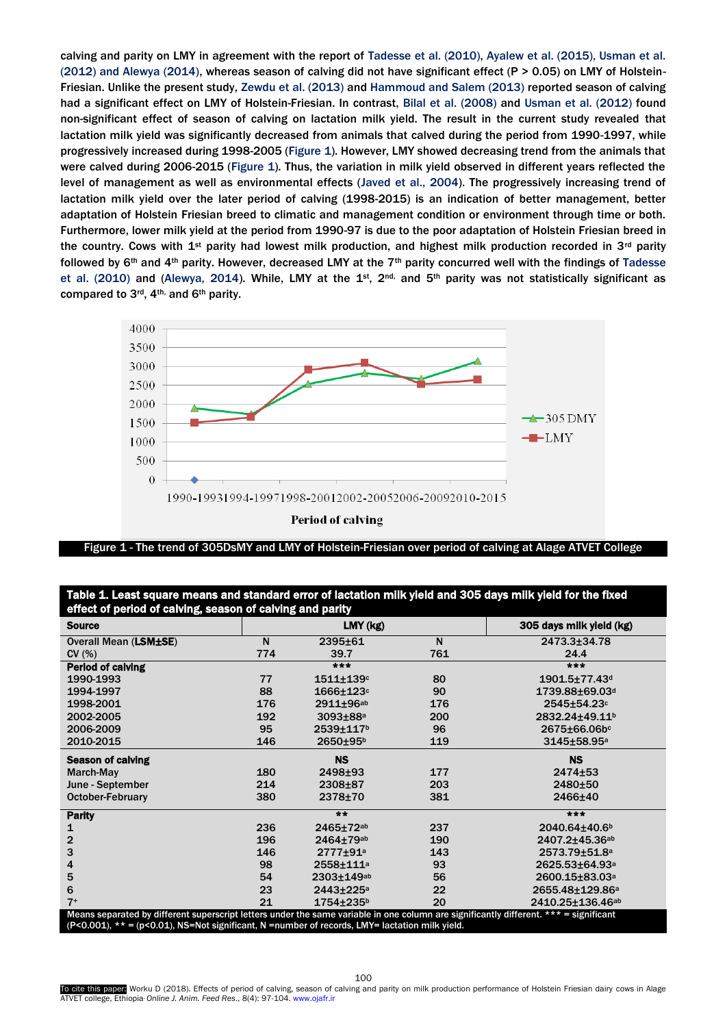<span id="page-3-0"></span>calving and parity on LMY in agreement with the report of [Tadesse et al. \(2010\), Ayalew et al. \(2015\), Usman et al.](#page-7-1)  [\(2012\) and Alewya \(2014\),](#page-7-1) whereas season of calving did not have significant effect (P > 0.05) on LMY of Holstein-Friesian. Unlike the present study, [Zewdu et al. \(2013\)](#page-7-1) and [Hammoud and Salem \(2013\)](#page-7-1) reported season of calving had a significant effect on LMY of Holstein-Friesian. In contrast, [Bilal et al.](#page-7-1) (2008) and [Usman et al. \(2012\)](#page-7-1) found non-significant effect of season of calving on lactation milk yield. The result in the current study revealed that lactation milk yield was significantly decreased from animals that calved during the period from 1990-1997, while progressively increased during 1998-2005 [\(Figure](#page-3-0) 1). However, LMY showed decreasing trend from the animals that were calved during 2006-2015 [\(Figure](#page-3-0) 1). Thus, the variation in milk yield observed in different years reflected the level of management as well as environmental effects ([Javed et al.,](#page-7-1) 2004). The progressively increasing trend of lactation milk yield over the later period of calving (1998-2015) is an indication of better management, better adaptation of Holstein Friesian breed to climatic and management condition or environment through time or both. Furthermore, lower milk yield at the period from 1990-97 is due to the poor adaptation of Holstein Friesian breed in the country. Cows with 1<sup>st</sup> parity had lowest milk production, and highest milk production recorded in 3<sup>rd</sup> parity followed by  $6th$  and 4<sup>th</sup> parity. However, decreased LMY at the 7<sup>th</sup> parity concurred well with the findings of Tadesse [et al. \(2010\)](#page-7-1) and [\(Alewya, 2014\).](#page-7-1) While, LMY at the 1st,  $2^{nd}$ , and 5<sup>th</sup> parity was not statistically significant as compared to 3<sup>rd</sup>, 4<sup>th,</sup> and 6<sup>th</sup> parity.



Figure 1 - The trend of 305DsMY and LMY of Holstein-Friesian over period of calving at Alage ATVET College

| Table 1. Least square means and standard error of lactation milk yield and 305 days milk yield for the fixed |  |
|--------------------------------------------------------------------------------------------------------------|--|
| effect of period of calving, season of calving and parity                                                    |  |

| <b>Source</b>                                                                                                                         | --  | LMY (kg)                   |     | 305 days milk yield (kg)        |  |  |  |  |
|---------------------------------------------------------------------------------------------------------------------------------------|-----|----------------------------|-----|---------------------------------|--|--|--|--|
| <b>Overall Mean (LSM±SE)</b>                                                                                                          | N   | 2395±61                    | N   | 2473.3±34.78                    |  |  |  |  |
| CV(%)                                                                                                                                 | 774 | 39.7                       | 761 | 24.4                            |  |  |  |  |
| <b>Period of calving</b>                                                                                                              |     | $***$                      |     | $***$                           |  |  |  |  |
| 1990-1993                                                                                                                             | 77  | $1511 + 139c$              | 80  | $1901.5 \pm 77.43$ <sup>d</sup> |  |  |  |  |
| 1994-1997                                                                                                                             | 88  | $1666 \pm 123$ c           | 90  | 1739.88±69.03d                  |  |  |  |  |
| 1998-2001                                                                                                                             | 176 | 2911±96 <sup>ab</sup>      | 176 | 2545±54.23c                     |  |  |  |  |
| 2002-2005                                                                                                                             | 192 | $3093 \pm 88$ <sup>a</sup> | 200 | 2832.24±49.11 <sup>b</sup>      |  |  |  |  |
| 2006-2009                                                                                                                             | 95  | 2539±117 <sup>b</sup>      | 96  | 2675±66.06bc                    |  |  |  |  |
| 2010-2015                                                                                                                             | 146 | 2650±95b                   | 119 | 3145±58.95 <sup>a</sup>         |  |  |  |  |
| <b>Season of calving</b>                                                                                                              |     | <b>NS</b>                  |     | <b>NS</b>                       |  |  |  |  |
| March-May                                                                                                                             | 180 | 2498±93                    | 177 | 2474±53                         |  |  |  |  |
| June - September                                                                                                                      | 214 | 2308±87                    | 203 | 2480±50                         |  |  |  |  |
| <b>October-February</b>                                                                                                               | 380 | 2378±70                    | 381 | 2466±40                         |  |  |  |  |
| <b>Parity</b>                                                                                                                         |     | **                         |     | ***                             |  |  |  |  |
| 1                                                                                                                                     | 236 | 2465±72ab                  | 237 | 2040.64±40.6 <sup>b</sup>       |  |  |  |  |
| $\overline{2}$                                                                                                                        | 196 | 2464±79ab                  | 190 | 2407.2±45.36 <sup>ab</sup>      |  |  |  |  |
| 3                                                                                                                                     | 146 | 2777±91 <sup>a</sup>       | 143 | 2573.79±51.8 <sup>a</sup>       |  |  |  |  |
| 4                                                                                                                                     | 98  | 2558±111 <sup>a</sup>      | 93  | 2625.53±64.93 <sup>a</sup>      |  |  |  |  |
| 5                                                                                                                                     | 54  | 2303±149ab                 | 56  | 2600.15±83.03 <sup>a</sup>      |  |  |  |  |
| 6                                                                                                                                     | 23  | 2443±225 <sup>a</sup>      | 22  | 2655.48±129.86 <sup>a</sup>     |  |  |  |  |
| $7+$                                                                                                                                  | 21  | $1754 + 235$ <sup>b</sup>  | 20  | 2410.25±136.46 <sup>ab</sup>    |  |  |  |  |
| Means separated by different superscript letters under the same variable in one column are significantly different. *** = significant |     |                            |     |                                 |  |  |  |  |
| (P<0.001), ** = (p<0.01), NS=Not significant, N =number of records, LMY= lactation milk yield.                                        |     |                            |     |                                 |  |  |  |  |

To cite this paper: Worku D (2018). Effects of period of calving, season of calving and parity on milk production performance of Holstein Friesian dairy cows in Alage ATVET college, Ethiopia. *Online J. Anim. Feed Res*., 8(4): 97-104. www.ojafr.ir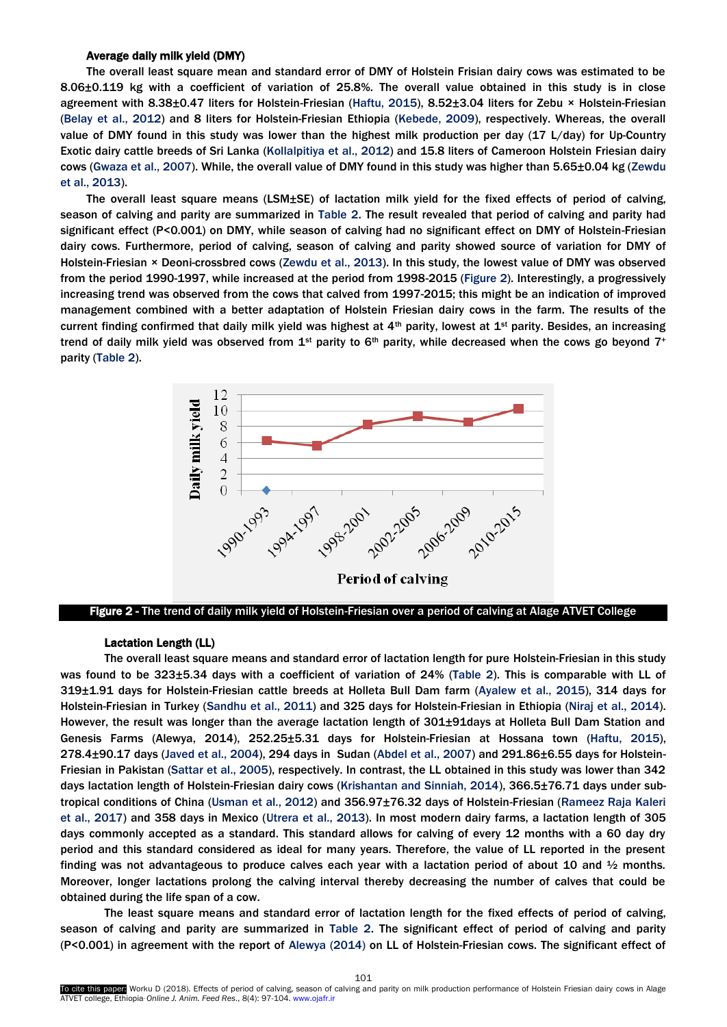### Average daily milk yield (DMY)

<span id="page-4-0"></span>The overall least square mean and standard error of DMY of Holstein Frisian dairy cows was estimated to be 8.06±0.119 kg with a coefficient of variation of 25.8%. The overall value obtained in this study is in close agreement with 8.38±0.47 liters for Holstein-Friesian [\(Haftu, 2015\),](#page-7-1) 8.52±3.04 liters for Zebu × Holstein-Friesian (Belay [et al., 2012\)](#page-7-1) and 8 liters for Holstein-Friesian Ethiopia [\(Kebede, 2009](#page-7-1)), respectively. Whereas, the overall value of DMY found in this study was lower than the highest milk production per day (17 L/day) for Up-Country Exotic dairy cattle breeds of Sri Lanka (Kollalpitiya [et al., 2012](#page-7-1)) and 15.8 liters of Cameroon Holstein Friesian dairy cows [\(Gwaza et al.,](#page-7-1) 2007). While, the overall value of DMY found in this study was higher than 5.65±0.04 kg [\(Zewdu](#page-7-1)  [et al., 2013\).](#page-7-1) 

The overall least square means (LSM±SE) of lactation milk yield for the fixed effects of period of calving, season of calving and parity are summarized i[n Table 2.](#page-5-0) The result revealed that period of calving and parity had significant effect (P<0.001) on DMY, while season of calving had no significant effect on DMY of Holstein-Friesian dairy cows. Furthermore, period of calving, season of calving and parity showed source of variation for DMY of Holstein-Friesian × Deoni-crossbred cows [\(Zewdu et al., 2013\)](#page-7-1). In this study, the lowest value of DMY was observed from the period 1990-1997, while increased at the period from 1998-2015 [\(Figure 2\).](#page-4-0) Interestingly, a progressively increasing trend was observed from the cows that calved from 1997-2015; this might be an indication of improved management combined with a better adaptation of Holstein Friesian dairy cows in the farm. The results of the current finding confirmed that daily milk yield was highest at  $4th$  parity, lowest at  $1st$  parity. Besides, an increasing trend of daily milk yield was observed from  $1^{st}$  parity to  $6^{th}$  parity, while decreased when the cows go beyond  $7^+$ parity [\(Table 2\).](#page-5-0)



Figure 2 - The trend of daily milk yield of Holstein-Friesian over a period of calving at Alage ATVET College

# Lactation Length (LL)

The overall least square means and standard error of lactation length for pure Holstein-Friesian in this study was found to be 323±5.34 days with a coefficient of variation of 24% [\(Table 2\).](#page-5-0) This is comparable with LL of 319±1.91 days for Holstein-Friesian cattle breeds at Holleta Bull Dam farm [\(Ayalew et al., 2015\)](#page-7-1), 314 days for Holstein-Friesian in Turkey [\(Sandhu et al., 2011\)](#page-7-1) and 325 days for Holstein-Friesian in Ethiopia [\(Niraj et al.,](#page-7-1) 2014). However, the result was longer than the average lactation length of 301±91days at Holleta Bull Dam Station and Genesis Farms (Alewya, 2014), 252.25±5.31 days for Holstein-Friesian at Hossana town [\(Haftu, 2015](#page-7-1)), 278.4±90.17 days [\(Javed et al.,](#page-7-1) 2004), 294 days in Sudan [\(Abdel et al.,](#page-7-1) 2007) and 291.86±6.55 days for Holstein-Friesian in Pakistan [\(Sattar et al., 2005\)](#page-7-1), respectively. In contrast, the LL obtained in this study was lower than 342 days lactation length of Holstein-Friesian dairy cows [\(Krishantan and Sinniah, 2014\)](#page-7-1), 366.5±76.71 days under subtropical conditions of China [\(Usman et al., 2012\)](#page-7-1) and 356.97±76.32 days of Holstein-Friesian [\(Rameez Raja Kaleri](#page-7-1)  [et al., 2017\)](#page-7-1) and 358 days in Mexico [\(Utrera et al.,](#page-7-1) 2013). In most modern dairy farms, a lactation length of 305 days commonly accepted as a standard. This standard allows for calving of every 12 months with a 60 day dry period and this standard considered as ideal for many years. Therefore, the value of LL reported in the present finding was not advantageous to produce calves each year with a lactation period of about 10 and  $\frac{1}{2}$  months. Moreover, longer lactations prolong the calving interval thereby decreasing the number of calves that could be obtained during the life span of a cow.

The least square means and standard error of lactation length for the fixed effects of period of calving, season of calving and parity are summarized in [Table 2.](#page-5-0) The significant effect of period of calving and parity (P<0.001) in agreement with the report of [Alewya \(2014\)](#page-7-1) on LL of Holstein-Friesian cows. The significant effect of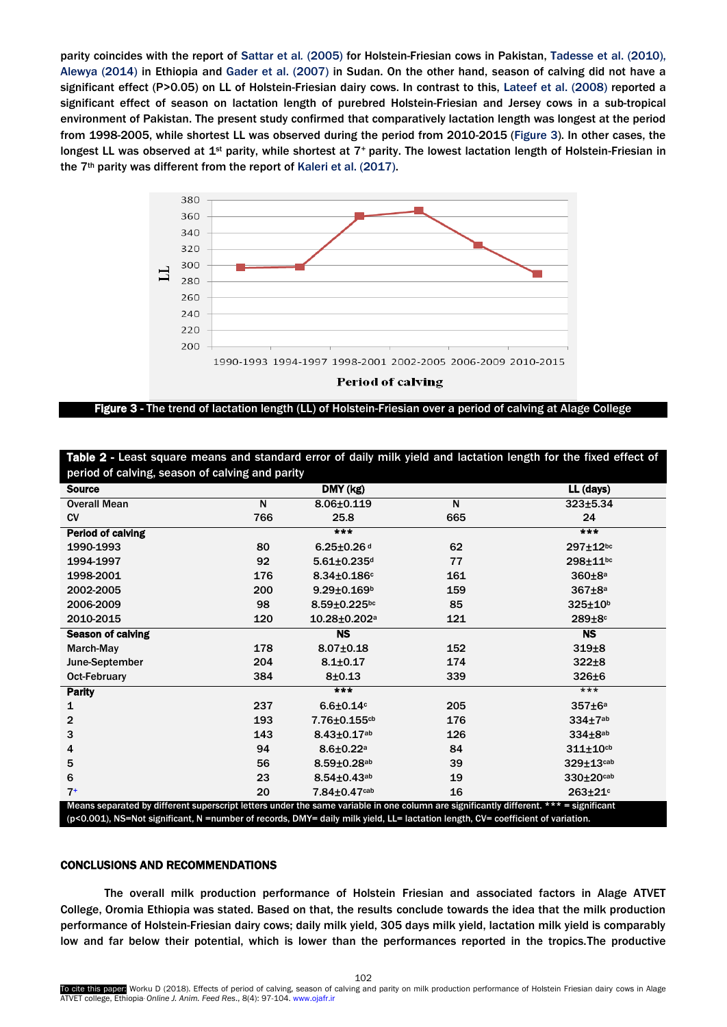<span id="page-5-0"></span>parity coincides with the report of [Sattar et al](#page-7-1)*.* (2005) for Holstein-Friesian cows in Pakistan, [Tadesse et al. \(2010\)](#page-7-1), [Alewya \(2014\)](#page-7-1) in Ethiopia and [Gader et al. \(2007\)](#page-7-1) in Sudan. On the other hand, season of calving did not have a significant effect (P>0.05) on LL of Holstein-Friesian dairy cows. In contrast to this[, Lateef et al. \(2008\)](#page-7-1) reported a significant effect of season on lactation length of purebred Holstein-Friesian and Jersey cows in a sub-tropical environment of Pakistan. The present study confirmed that comparatively lactation length was longest at the period from 1998-2005, while shortest LL was observed during the period from 2010-2015 [\(Figure 3\)](#page-5-0). In other cases, the longest LL was observed at 1<sup>st</sup> parity, while shortest at 7<sup>+</sup> parity. The lowest lactation length of Holstein-Friesian in the 7<sup>th</sup> parity was different from the report o[f Kaleri et al. \(2017\).](#page-7-1)



Figure 3 - The trend of lactation length (LL) of Holstein-Friesian over a period of calving at Alage College

| <b>Source</b>            |     | DMY (kg)                      |     | LL (days)               |
|--------------------------|-----|-------------------------------|-----|-------------------------|
| <b>Overall Mean</b>      | N   | $8.06 \pm 0.119$              | N   | $323 + 5.34$            |
| <b>CV</b>                | 766 | 25.8                          | 665 | 24                      |
| Period of calving        |     | $***$                         |     | $***$                   |
| 1990-1993                | 80  | $6.25 \pm 0.26$ d             | 62  | 297±12bc                |
| 1994-1997                | 92  | $5.61 \pm 0.235$ <sup>d</sup> | 77  | 298±11bc                |
| 1998-2001                | 176 | $8.34 \pm 0.186$ c            | 161 | 360±8 <sup>a</sup>      |
| 2002-2005                | 200 | $9.29 \pm 0.169$ <sup>b</sup> | 159 | $367\pm8a$              |
| 2006-2009                | 98  | $8.59 \pm 0.225$ bc           | 85  | 325±10b                 |
| 2010-2015                | 120 | 10.28±0.202 <sup>a</sup>      | 121 | 289±8 <sup>c</sup>      |
| <b>Season of calving</b> |     | <b>NS</b>                     |     | <b>NS</b>               |
| March-May                | 178 | $8.07 \pm 0.18$               | 152 | $319+8$                 |
| June-September           | 204 | $8.1 \pm 0.17$                | 174 | $322 \pm 8$             |
| <b>Oct-February</b>      | 384 | $8 + 0.13$                    | 339 | $326\pm 6$              |
| <b>Parity</b>            |     | $***$                         |     | $***$                   |
| 1                        | 237 | $6.6 \pm 0.14$ c              | 205 | $357\pm6a$              |
| $\overline{2}$           | 193 | 7.76±0.155cb                  | 176 | $334\pm7$ <sup>ab</sup> |
| 3                        | 143 | $8.43 \pm 0.17$ ab            | 126 | $334\pm8$ ab            |
| 4                        | 94  | $8.6 \pm 0.22$ <sup>a</sup>   | 84  | $311 \pm 10$ cb         |
| 5                        | 56  | $8.59 \pm 0.28$ ab            | 39  | 329±13cab               |
| 6                        | 23  | $8.54 \pm 0.43$ ab            | 19  | 330±20cab               |
| $7+$                     | 20  | 7.84±0.47cab                  | 16  | 263±21 <sup>c</sup>     |

Table 2 - Least square means and standard error of daily milk yield and lactation length for the fixed effect of

## CONCLUSIONS AND RECOMMENDATIONS

The overall milk production performance of Holstein Friesian and associated factors in Alage ATVET College, Oromia Ethiopia was stated. Based on that, the results conclude towards the idea that the milk production performance of Holstein-Friesian dairy cows; daily milk yield, 305 days milk yield, lactation milk yield is comparably low and far below their potential, which is lower than the performances reported in the tropics.The productive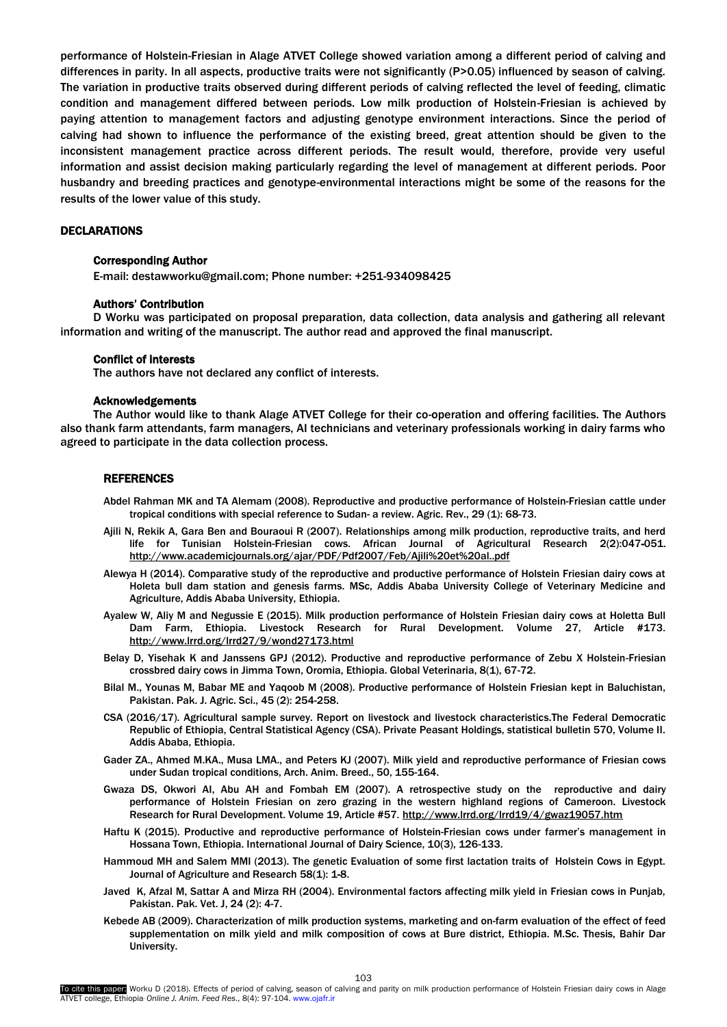performance of Holstein-Friesian in Alage ATVET College showed variation among a different period of calving and differences in parity. In all aspects, productive traits were not significantly (P>0.05) influenced by season of calving. The variation in productive traits observed during different periods of calving reflected the level of feeding, climatic condition and management differed between periods. Low milk production of Holstein-Friesian is achieved by paying attention to management factors and adjusting genotype environment interactions. Since the period of calving had shown to influence the performance of the existing breed, great attention should be given to the inconsistent management practice across different periods. The result would, therefore, provide very useful information and assist decision making particularly regarding the level of management at different periods. Poor husbandry and breeding practices and genotype-environmental interactions might be some of the reasons for the results of the lower value of this study.

# **DECLARATIONS**

#### Corresponding Author

E-mail: destawworku@gmail.com; Phone number: +251-934098425

#### Authors' Contribution

D Worku was participated on proposal preparation, data collection, data analysis and gathering all relevant information and writing of the manuscript. The author read and approved the final manuscript.

## Conflict of interests

The authors have not declared any conflict of interests.

#### Acknowledgements

The Author would like to thank Alage ATVET College for their co-operation and offering facilities. The Authors also thank farm attendants, farm managers, AI technicians and veterinary professionals working in dairy farms who agreed to participate in the data collection process.

#### **REFERENCES**

- Abdel Rahman MK and TA Alemam (2008). Reproductive and productive performance of Holstein-Friesian cattle under tropical conditions with special reference to Sudan- a review. Agric. Rev., 29 (1): 68-73.
- Ajili N, Rekik A, Gara Ben and Bouraoui R (2007). Relationships among milk production, reproductive traits, and herd life for Tunisian Holstein-Friesian cows. African Journal of Agricultural Research 2(2):047-051[.](http://www.academicjournals.org/ajar/PDF/Pdf2007/Feb/Ajili%20et%20al..pdf) <http://www.academicjournals.org/ajar/PDF/Pdf2007/Feb/Ajili%20et%20al..pdf>
- Alewya H (2014). Comparative study of the reproductive and productive performance of Holstein Friesian dairy cows at Holeta bull dam station and genesis farms. MSc, Addis Ababa University College of Veterinary Medicine and Agriculture, Addis Ababa University, Ethiopia.
- Ayalew W, Aliy M and Negussie E (2015). Milk production performance of Holstein Friesian dairy cows at Holetta Bull Dam Farm, Ethiopia. Livestock Research for Rural Development. Volume 27, Article #173*.* <http://www.lrrd.org/lrrd27/9/wond27173.html>
- Belay D, Yisehak K and Janssens GPJ (2012). Productive and reproductive performance of Zebu X Holstein-Friesian crossbred dairy cows in Jimma Town, Oromia, Ethiopia. Global Veterinaria, 8(1), 67-72.
- Bilal M., Younas M, Babar ME and Yaqoob M (2008). Productive performance of Holstein Friesian kept in Baluchistan, Pakistan. Pak. J. Agric. Sci., 45 (2): 254-258.
- CSA (2016/17). Agricultural sample survey. Report on livestock and livestock characteristics.The Federal Democratic Republic of Ethiopia, Central Statistical Agency (CSA). Private Peasant Holdings, statistical bulletin 570, Volume II. Addis Ababa, Ethiopia.
- Gader ZA., Ahmed M.KA., Musa LMA., and Peters KJ (2007). Milk yield and reproductive performance of Friesian cows under Sudan tropical conditions, Arch. Anim. Breed., 50, 155-164.
- Gwaza DS, Okwori AI, Abu AH and Fombah EM (2007). A retrospective study on the reproductive and dairy performance of Holstein Friesian on zero grazing in the western highland regions of Cameroon. Livestock Research for Rural Development. Volume 19, Article #57*.* <http://www.lrrd.org/lrrd19/4/gwaz19057.htm>
- Haftu K (2015). Productive and reproductive performance of Holstein-Friesian cows under farmer's management in Hossana Town, Ethiopia. International Journal of Dairy Science, 10(3), 126-133.
- Hammoud MH and Salem MMI (2013). The genetic Evaluation of some first lactation traits of Holstein Cows in Egypt. Journal of Agriculture and Research 58(1): 1-8.
- Javed K, Afzal M, Sattar A and Mirza RH (2004). Environmental factors affecting milk yield in Friesian cows in Punjab, Pakistan. Pak. Vet. J, 24 (2): 4-7.
- Kebede AB (2009). Characterization of milk production systems, marketing and on-farm evaluation of the effect of feed supplementation on milk yield and milk composition of cows at Bure district, Ethiopia. M.Sc. Thesis, Bahir Dar University.